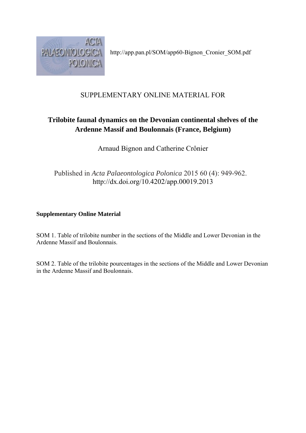

http://app.pan.pl/SOM/app60-Bignon\_Cronier\_SOM.pdf

## SUPPLEMENTARY ONLINE MATERIAL FOR

## **Trilobite faunal dynamics on the Devonian continental shelves of the Ardenne Massif and Boulonnais (France, Belgium)**

Arnaud Bignon and Catherine Crônier

Published in *Acta Palaeontologica Polonica* 2015 60 (4): 949-962. http://dx.doi.org/10.4202/app.00019.2013

## **Supplementary Online Material**

SOM 1. Table of trilobite number in the sections of the Middle and Lower Devonian in the Ardenne Massif and Boulonnais.

SOM 2. Table of the trilobite pourcentages in the sections of the Middle and Lower Devonian in the Ardenne Massif and Boulonnais.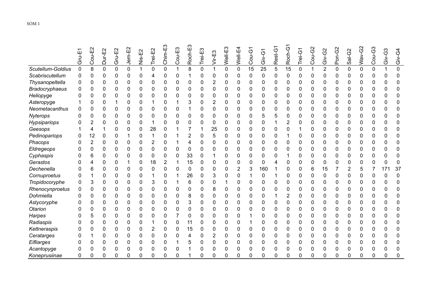|                       | ш<br><b>Hul</b> | Cou-E2 | Dur-E2       | Gru-E2 | Jem-E2 | Nis-E2   | Trei-E2 | Chim-E3        | Cou-E3   | ш<br>Roch-I | Trei-E3 | Vir-E3   | Well-E3     | Well-E4  | Cou-G1 | Giv-G1   | Rest-G1 | Roch-G   | Trei-G | Cou-G2      | Giv-G2         | Pon-G2       | $Sal-G2$ | Wav-G | Cou-G3      | Giv-G3 | Giv-G4       |
|-----------------------|-----------------|--------|--------------|--------|--------|----------|---------|----------------|----------|-------------|---------|----------|-------------|----------|--------|----------|---------|----------|--------|-------------|----------------|--------------|----------|-------|-------------|--------|--------------|
| Scutellum-Goldius     | 0               | 8      | $\mathbf{0}$ | 0      | 0      | 1        | 0       | $\mathbf 0$    |          | 8           | 0       | 1        | $\mathbf 0$ | 0        | 15     | 25       | 5       | 15       | 0      | $\mathbf 1$ | $\overline{2}$ | $\mathbf{0}$ | 0        | 0     | $\mathbf 0$ |        | 0            |
| Scabriscutellum       | 0               | 0      | 0            | 0      | 0      | $\Omega$ | 4       | 0              | 0        |             | 0       | $\Omega$ | 0           | O        | 0      | $\Omega$ | 0       | $\Omega$ | 0      | 0           | 0              | 0            | 0        | 0     | 0           | ი      | $\Omega$     |
| Thysanopeltella       | 0               | 0      | 0            | 0      | 0      | $\Omega$ | 0       | 0              | O        | 0           | 0       | 2        | 0           | O        | 0      | 0        | 0       | 0        | 0      | 0           | 0              | 0            | ი        | 0     | 0           | n      | 0            |
| <b>Bradocryphaeus</b> |                 |        | 0            | 0      | 0      | 0        | 0       | 0              | 0        | 0           | 0       | 0        | 0           | 0        | 0      | 0        | 0       | 0        |        | 0           | 0              | 0            | 0        | 0     | 0           | ი      | 0            |
| Heliopyge             |                 |        | 0            | O      | 0      | 0        | 0       | 0              | O        | 0           | 0       | 0        | 0           | n        | 0      | 0        | 0       | 0        | 0      | 0           | 0              | 0            | O        | 0     | 0           | 0      | 0            |
| Asteropyge            |                 | 0      | 0            |        | 0      | 0        |         | 0              |          | 3           | 0       | 2        | 0           | 0        | 0      | 0        | 0       | 0        | 0      | 0           | 0              | 0            | 0        | 0     | 0           |        | 0            |
| Neometacanthus        |                 |        | 0            | 0      | 0      | 0        | 0       | 0              | 0        |             | 0       | 0        | 0           | 0        | 0      | 0        | 0       | 0        |        | 0           | 0              | 0            | 0        | 0     |             |        |              |
| Nyterops              | 0               | O      | 0            | 0      | 0      | 0        | 0       | 0              | 0        | 0           | Ω       | 0        | 0           | 0        | 0      | 5        | 5       | 0        | 0      | 0           | 0              | 0            | ი        | 0     | 0           | n      | 0            |
| Hypsipariops          |                 |        | 0            | 0      | 0      | 0        |         | 0              | 0        | 0           | 0       | 0        | 0           | 0        | 0      | 0        |         | 2        | 0      | 0           | 0              | 0            | 0        | 0     | 0           | N      | 0            |
| Geesops               |                 |        |              | 0      | 0      | 0        | 28      | 0              |          |             |         | 25       | 0           | 0        | 0      | 0        | 0       | 0        |        | 0           | 0              | 0            | 0        | 0     | 0           |        | 0            |
| Pedinopariops         | 0               | 12     | 0            | 0      |        | 0        |         | 0              |          | 2           | 0       | 5        | 0           | 0        | 0      | 0        | 0       |          | O      | 0           | 0              | 0            | 0        | 0     | 0           | 0      | 0            |
| Phacops               | ი               | 2      | 0            | 0      | 0      | 0        | 2       | 0              |          | 4           | 0       | 0        | 0           | O        | 0      | 0        | 0       | 0        | 0      | 0           | 0              | 0            | 0        | 0     | 0           | O      | 0            |
| Eldregeops            | n               |        | 0            | 0      | 0      | 0        | 0       | $\mathbf 0$    | ŋ        | 0           |         | 0        | $\Omega$    | U        | 0      | 0        | 0       | 0        | U      | 0           | 0              | 0            | 0        | 0     | 0           | n      | O            |
| Cyphaspis             |                 |        | 0            | 0      | 0      | 0        | 0       | $\mathbf 0$    | 0        | 33          | 0       |          | 0           | 0        | 0      | 0        | 0       |          |        | 0           | 0              | 0            | 0        | 0     | 0           |        | 0            |
| Gerastos              |                 |        | 0            | 0      |        | 0        | 18      | $\overline{2}$ |          | 15          | 0       | 0        | 0           | $\Omega$ | 0      | 0        | 4       | 0        | 0      | 0           | 0              | 0            | 0        | 0     | 0           | U      | $\mathbf{0}$ |
| Dechenella            |                 |        | 0            | 0      | 0      | 0        | 0       | 0              | 0        | 0           |         | 0        | 0           | 2        | 3      | 160      |         | 0        | 0      | 6           | 15             |              | 2        | 5     |             | 17'    | 37           |
| Cornuproetus          |                 |        | 0            | 0      | 0      | 0        |         | 0              |          | 26          |         | 3        | 0           | 0        |        | 0        |         | 0        | 0      | 0           | 0              | 0            | 0        | 0     | 0           | 0      | $\Omega$     |
| Tropidocoryphe        | 0               | 3      | 0            | 0      | 0      | U        | 3       | $\mathbf 0$    |          | 6           | 0       | 0        |             | O        | 0      | 0        | 0       | 0        |        | 0           | 0              | 0            | 0        | 0     |             | O      | $\Omega$     |
| Rhenocynproetus       | 0               | 0      | 0            | 0      | 0      | 0        | 0       | 0              | $\Omega$ | 0           | 0       | 8        | 0           | 0        | 0      | 0        | 0       | 0        | 0      | 0           | 0              | 0            | 0        | 0     | 0           |        | 0            |
| Dohmiella             | O               |        | 0            | 0      | 0      | $\Omega$ | 0       | 0              | O        | 8           | 0       | $\Omega$ | 0           | O        | 0      | 0        | 1       | 2        | 0      | 0           | 0              | 0            | N        | 0     | 0           | n      | 0            |
| Astycoryphe           |                 |        | 0            | 0      | 0      | 0        | 0       | 0              | 0        | 3           | 0       | 0        | 0           | 0        | 0      | 0        | 0       | 0        |        | 0           | 0              | 0            | 0        | 0     |             |        | 0            |
| Otarion               |                 | O      | 0            | 0      | 0      | 0        | 0       | 0              | 0        | 0           | 0       | 0        | 0           | 0        | 0      | 0        | 0       | 0        | 0      | 0           | 0              | 0            | 0        | 0     | 0           | 0      | $\Omega$     |
| Harpes                |                 |        | 0            | 0      | 0      | 0        | 0       | 0              |          | 0           | 0       | 0        | 0           | 0        |        | 0        | 0       | 0        |        | 0           | 0              | 0            | 0        | 0     | 0           |        | 0            |
| Radiaspis             |                 |        | 0            | 0      | 0      | 0        |         | 0              | 0        | 11          | 0       | 0        | 0           | 0        |        | 0        | 0       | 0        | 0      | 0           | 0              | 0            | 0        | 0     | 0           |        | 0            |
| Kettneraspis          |                 |        | 0            | 0      | 0      | 0        | 2       | 0              | 0        | 15          | 0       | 0        | 0           | U        | 0      | 0        | 0       | 0        | 0      | 0           | 0              | 0            | 0        | 0     | 0           | n      | 0            |
| Ceratarges            |                 |        | 0            | 0      | 0      | 0        | 0       | 0              | ŋ        | 4           | 0       | 2        | 0           | 0        | 0      | 0        | 0       | 0        | 0      | 0           | 0              | 0            | 0        | 0     | 0           |        | 0            |
| Eifliarges            | 0               |        | 0            | 0      | 0      | 0        | 0       | 0              |          | 5           |         | 0        | 0           |          | 0      | 0        | 0       | 0        |        | 0           | 0              | 0            | 0        | 0     | 0           |        |              |
| Acantopyge            |                 |        | 0            | 0      | 0      | 0        | 0       | 0              | 0        |             | 0       | 0        | 0           | 0        | 0      | 0        | 0       | 0        |        | 0           | 0              | 0            | 0        | 0     | 0           | 0      | 0            |
| Koneprusiinae         | 0               |        | 0            | O      |        | U        | ი       | $\Omega$       | n        |             | n       | ∩        | $\Omega$    | O        | 0      | N        | ი       | ∩        | n      | 0           | O              | 0            | 0        | O.    | 0           | 0      | $\Omega$     |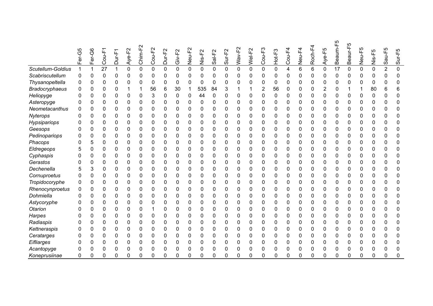|                       | Fer-G5 | Fer-G6 | $Cou-F$      | Dur-F       | n<br>F<br>7<br>$\check{\hat{\mathcal{Z}}}$ | Chim-F2        | Cou-F2 | $\scriptstyle\mathtt{N}$<br>Dur-F2 | $\sim$<br>Giv-F: | Neu-F <sub>2</sub> | Nis-F2      | $Sal-F2$    | Sur-F2      | Wav-F2      | Wel-F2         | Cou-F <sub>3</sub> | Hot-F <sub>3</sub> | $Cou-F4$                | Neu-F4         | Roch-F4 | Aye-F5      | ပူ<br>Beaum | ю<br>Beaur-F | Neu-F5      | Nis-F5      | Sau-F          | Sur-F5 |
|-----------------------|--------|--------|--------------|-------------|--------------------------------------------|----------------|--------|------------------------------------|------------------|--------------------|-------------|-------------|-------------|-------------|----------------|--------------------|--------------------|-------------------------|----------------|---------|-------------|-------------|--------------|-------------|-------------|----------------|--------|
| Scutellum-Goldius     |        |        | 27           |             | 0                                          | $\overline{0}$ | 0      | $\mathbf 0$                        | $\mathbf 0$      | $\mathbf 0$        | $\mathbf 0$ | $\mathbf 0$ | $\mathbf 0$ | $\mathbf 0$ | $\overline{0}$ | 0                  | 0                  | $\overline{\mathbf{4}}$ | $6\phantom{1}$ | 6       | $\mathbf 0$ | 17          | $\mathbf 0$  | $\mathbf 0$ | $\mathbf 0$ | $\overline{2}$ | 0      |
| Scabriscutellum       | 0      | 0      | 0            | 0           | 0                                          | 0              | 0      | 0                                  | 0                | 0                  | 0           | 0           | 0           | 0           | 0              | 0                  | 0                  | 0                       | 0              | 0       | 0           | 0           | 0            | 0           | 0           | O              | 0      |
| Thysanopeltella       | 0      | 0      | 0            | 0           | 0                                          | 0              | 0      | 0                                  | 0                | 0                  | 0           | $\mathbf 0$ | 0           | 0           | 0              | 0                  | 0                  | 0                       | 0              | 0       | 0           | 0           | 0            | 0           | 0           | 0              | 0      |
| <b>Bradocryphaeus</b> |        |        | 0            | 0           | 1                                          |                | 56     | 6                                  | 30               |                    | 535         | 84          | 3           |             |                | 2                  | 56                 | 0                       | 0              | 0       | 2           | 0           |              |             | 80          | 6              | 6      |
| Heliopyge             | Ω      |        | 0            | 0           | 0                                          | 0              | 3      | 0                                  | 0                | 0                  | 44          | 0           | 0           | 0           | 0              | 0                  | 0                  | 0                       | 0              | 0       | 0           | 0           | 0            | 0           | 0           | ŋ              | 0      |
| Asteropyge            | U      | 0      | 0            | 0           | 0                                          | 0              | 0      | 0                                  | 0                | 0                  | 0           | 0           | 0           | 0           | 0              | 0                  | 0                  | 0                       | 0              | 0       | $\Omega$    | 0           | 0            | 0           | 0           | ŋ              | 0      |
| Neometacanthus        |        | 0      | 0            | $\mathbf 0$ | 0                                          | 0              | 0      | 0                                  | 0                | 0                  | 0           | 0           | $\mathbf 0$ | 0           | 0              | 0                  | 0                  | 0                       | 0              | 0       | 0           | 0           | 0            | 0           | 0           | 0              | 0      |
| Nyterops              |        | 0      | 0            | 0           | 0                                          | 0              | 0      | 0                                  | 0                | 0                  | 0           | 0           | 0           | 0           | 0              | 0                  | 0                  | 0                       | 0              | 0       | 0           | 0           | 0            | 0           | 0           | 0              | 0      |
| Hypsipariops          |        | ი      | $\mathbf{0}$ | 0           | 0                                          | 0              | 0      | 0                                  | 0                | 0                  | 0           | $\mathbf 0$ | 0           | 0           | 0              | 0                  | 0                  | 0                       | 0              | 0       | 0           | 0           | 0            | 0           | 0           | ŋ              | 0      |
| Geesops               | Ω      | 0      | $\mathbf{0}$ | 0           | 0                                          | 0              | 0      | 0                                  | 0                | 0                  | 0           | $\mathbf 0$ | 0           | 0           | 0              | 0                  | 0                  | 0                       | 0              | 0       | 0           | 0           | 0            | 0           | 0           | 0              | 0      |
| Pedinopariops         |        | 0      | 0            | 0           | 0                                          | 0              | 0      | 0                                  | 0                | 0                  | 0           | 0           | 0           | 0           | 0              | 0                  | 0                  | 0                       | 0              | 0       | 0           | 0           | 0            | 0           | 0           | 0              | 0      |
| Phacops               |        |        | 0            | 0           | 0                                          | 0              | 0      | 0                                  | 0                | 0                  | 0           | 0           | 0           | 0           | 0              | 0                  | 0                  | 0                       | 0              | 0       | 0           | 0           | 0            | 0           | 0           | 0              | 0      |
| Eldregeops            |        | 0      | 0            | 0           | 0                                          | 0              | 0      | 0                                  | 0                | 0                  | 0           | 0           | 0           | 0           | 0              | 0                  | 0                  | 0                       | 0              | 0       | 0           | 0           | 0            | 0           | 0           | 0              | 0      |
| Cyphaspis             |        | 0      | 0            | 0           | 0                                          | 0              | 0      | 0                                  | 0                | 0                  | 0           | 0           | 0           | 0           | 0              | 0                  | 0                  | 0                       | 0              | 0       | 0           | 0           | 0            | 0           | 0           | N              | 0      |
| Gerastos              |        | 0      | 0            | 0           | 0                                          | 0              | 0      | 0                                  | 0                | 0                  | 0           | 0           | 0           | 0           | 0              | 0                  | 0                  | 0                       | 0              | 0       | 0           | 0           | 0            | 0           | 0           | 0              | 0      |
| Dechenella            |        | 3      | 0            | 0           | 0                                          | 0              | 0      | 0                                  | 0                | 0                  | 0           | 0           | 0           | 0           | 0              | 0                  | 0                  | 0                       | 0              | 0       | 0           | 0           | 0            | 0           | 0           | 0              | 0      |
| Cornuproetus          |        |        | 0            | 0           | 0                                          | 0              | 0      | 0                                  | 0                | 0                  | 0           | 0           | 0           | 0           | 0              | 0                  | 0                  | 0                       | 0              | 0       | 0           | 0           | 0            | 0           | 0           | 0              | 0      |
| Tropidocoryphe        | 0      | 0      | 0            | 0           | 0                                          | 0              | 0      | 0                                  | 0                | 0                  | 0           | 0           | 0           | 0           | 0              | 0                  | 0                  | 0                       | 0              | 0       | 0           | 0           | 0            | 0           | 0           | n              | 0      |
| Rhenocynproetus       | 0      |        | 0            | 0           | 0                                          | 0              | 0      | 0                                  | 0                | 0                  | 0           | 0           | 0           | 0           | 0              | 0                  | 0                  | 0                       | 0              | 0       | 0           | 0           | 0            | 0           | 0           | 0              | 0      |
| Dohmiella             |        |        | 0            | 0           | 0                                          | 0              | 0      | 0                                  | 0                | 0                  | 0           | 0           | 0           | 0           | 0              | 0                  | 0                  | 0                       | 0              | 0       | 0           | 0           | 0            | $\Omega$    | 0           | ŋ              | 0      |
| Astycoryphe           |        | 0      | 0            | 0           | 0                                          | 0              | 0      | 0                                  | 0                | 0                  | 0           | $\mathbf 0$ | 0           | 0           | 0              | 0                  | 0                  | 0                       | 0              | 0       | 0           | 0           | 0            | 0           | 0           | 0              | 0      |
| Otarion               |        | 0      | 0            | 0           | 0                                          | 0              | 1      | 0                                  | 0                | 0                  | 0           | 0           | 0           | 0           | 0              | 0                  | 0                  | 0                       | 0              | 0       | 0           | 0           | 0            | 0           | 0           | 0              | 0      |
| <b>Harpes</b>         |        | 0      | 0            | 0           | 0                                          | 0              | 0      | 0                                  | 0                | 0                  | 0           | 0           | 0           | 0           | 0              | 0                  | 0                  | 0                       | 0              | 0       | 0           | 0           | 0            | 0           | 0           | 0              | 0      |
| Radiaspis             |        | 0      | 0            | 0           | 0                                          | 0              | 0      | 0                                  | 0                | 0                  | 0           | 0           | 0           | 0           | 0              | 0                  | 0                  | 0                       | 0              | 0       | 0           | 0           | 0            | 0           | 0           | N              | 0      |
| Kettneraspis          |        | 0      | 0            | 0           | 0                                          | 0              | 0      | 0                                  | 0                | 0                  | 0           | 0           | 0           | 0           | 0              | 0                  | 0                  | 0                       | 0              | 0       | 0           | 0           | 0            | 0           | 0           | 0              | 0      |
| Ceratarges            |        | 0      | 0            | 0           | 0                                          | 0              | 0      | 0                                  | 0                | 0                  | 0           | 0           | 0           | 0           | 0              | 0                  | 0                  | 0                       | 0              | 0       | 0           | 0           | 0            | 0           | 0           | 0              | 0      |
| Eifliarges            |        | 0      | 0            | 0           | 0                                          | 0              | 0      | 0                                  | 0                | 0                  | 0           | $\mathbf 0$ | 0           | 0           | 0              | 0                  | 0                  | 0                       | 0              | 0       | 0           | 0           | 0            | 0           | 0           | N              | 0      |
| Acantopyge            | 0      | ი      | 0            | 0           | 0                                          | 0              | 0      | 0                                  | 0                | 0                  | 0           | 0           | 0           | 0           | 0              | 0                  | 0                  | 0                       | 0              | 0       | 0           | 0           | 0            | 0           | 0           | 0              | 0      |
| Koneprusiinae         | 0      | 0      | $\Omega$     | O           | 0                                          | 0              | 0      | 0                                  | ŋ                | 0                  | 0           | $\Omega$    | O           | 0           | 0              | 0                  | n                  | 0                       | 0              | ი       | O           | n           | 0            | 0           | $\Omega$    | ŋ              | 0      |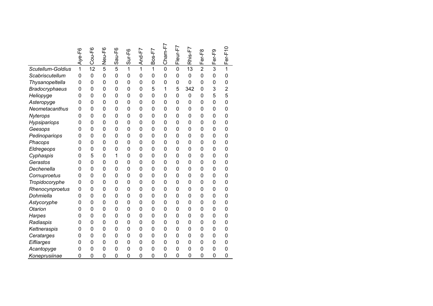|                       | Aye-F6         | Cou-F6         | Neu-F6         | Sau-F6         | $Sur-F6$       | And-F7       | $B$ os-F7    | $Cham-F7$      | Fleur-F7       | Rhis-F7        | Fer-F8         | Fer-F9         | Fer-F10        |
|-----------------------|----------------|----------------|----------------|----------------|----------------|--------------|--------------|----------------|----------------|----------------|----------------|----------------|----------------|
| Scutellum-Goldius     | 1              | 12             | 5              | 5              | 1              | 1            | $\mathbf{1}$ | $\overline{0}$ | $\mathbf 0$    | 13             | $\overline{2}$ | 3              | 1              |
| Scabriscutellum       | 0              | $\mathbf 0$    | $\overline{0}$ | $\overline{0}$ | $\overline{0}$ | $\mathbf{0}$ | 0            | 0              | $\overline{0}$ | $\mathbf 0$    | 0              | 0              | 0              |
| Thysanopeltella       | 0              | $\mathbf 0$    | 0              | 0              | 0              | $\mathbf 0$  | 0            | 0              | 0              | $\mathbf 0$    | 0              | 0              | 0              |
| <b>Bradocryphaeus</b> | 0              | $\mathbf 0$    | 0              | 0              | 0              | $\mathbf 0$  | 5            | 1              | 5              | 342            | 0              | 3              | $\overline{2}$ |
| Heliopyge             | 0              | 0              | 0              | 0              | 0              | $\mathbf 0$  | 0            | 0              | 0              | $\mathbf 0$    | 0              | 5              | 5              |
| Asteropyge            | 0              | $\overline{0}$ | 0              | 0              | 0              | $\mathbf 0$  | 0            | 0              | 0              | $\mathbf 0$    | 0              | 0              | $\overline{0}$ |
| Neometacanthus        | 0              | $\mathbf 0$    | 0              | 0              | 0              | $\mathbf 0$  | 0            | 0              | 0              | $\mathbf 0$    | 0              | 0              | 0              |
| Nyterops              | 0              | $\mathbf 0$    | 0              | 0              | 0              | $\mathbf 0$  | 0            | 0              | 0              | $\mathbf 0$    | 0              | 0              | 0              |
| Hypsipariops          | 0              | $\mathbf 0$    | 0              | 0              | 0              | $\mathbf 0$  | 0            | 0              | $\overline{0}$ | $\mathbf 0$    | 0              | 0              | 0              |
| Geesops               | $\overline{0}$ | $\mathbf 0$    | 0              | 0              | 0              | $\mathbf 0$  | 0            | 0              | 0              | $\mathbf{0}$   | 0              | 0              | $\overline{0}$ |
| Pedinopariops         | 0              | 0              | 0              | 0              | 0              | 0            | 0            | 0              | 0              | $\mathbf{0}$   | 0              | 0              | 0              |
| Phacops               | 0              | 0              | 0              | 0              | 0              | 0            | 0            | 0              | 0              | $\mathbf 0$    | 0              | 0              | 0              |
| Eldregeops            | 0              | $\mathbf 0$    | 0              | 0              | $\overline{0}$ | $\mathbf 0$  | 0            | 0              | $\overline{0}$ | $\mathbf{0}$   | 0              | 0              | $\overline{0}$ |
| Cyphaspis             | 0              | 5              | 0              | 1              | $\mathbf 0$    | $\mathbf 0$  | 0            | 0              | 0              | $\mathbf 0$    | 0              | 0              | 0              |
| Gerastos              | 0              | $\mathbf 0$    | $\mathbf 0$    | 0              | $\mathbf{0}$   | 0            | 0            | 0              | 0              | $\mathbf 0$    | 0              | 0              | 0              |
| Dechenella            | 0              | 0              | 0              | 0              | 0              | 0            | 0            | 0              | 0              | 0              | 0              | 0              | 0              |
| Cornuproetus          | 0              | 0              | $\mathbf 0$    | 0              | $\mathbf{0}$   | 0            | 0            | 0              | 0              | 0              | 0              | 0              | 0              |
| Tropidocoryphe        | 0              | $\mathbf 0$    | $\mathbf 0$    | $\overline{0}$ | $\mathbf 0$    | $\mathbf 0$  | 0            | 0              | $\overline{0}$ | $\mathbf 0$    | 0              | $\overline{0}$ | $\overline{0}$ |
| Rhenocynproetus       | 0              | 0              | 0              | 0              | 0              | 0            | 0            | 0              | 0              | 0              | 0              | 0              | 0              |
| Dohmiella             | 0              | 0              | 0              | 0              | $\mathbf 0$    | 0            | 0            | 0              | 0              | $\mathbf 0$    | 0              | 0              | 0              |
| Astycoryphe           | 0              | 0              | $\mathbf 0$    | 0              | $\mathbf 0$    | 0            | 0            | 0              | $\mathbf 0$    | 0              | 0              | 0              | 0              |
| Otarion               | 0              | $\mathbf 0$    | $\mathbf 0$    | $\overline{0}$ | $\mathbf 0$    | $\mathbf 0$  | 0            | $\mathbf 0$    | $\mathbf 0$    | $\mathbf{0}$   | 0              | 0              | $\overline{0}$ |
| <b>Harpes</b>         | 0              | 0              | 0              | 0              | $\mathbf 0$    | $\mathbf 0$  | 0            | 0              | 0              | 0              | 0              | 0              | 0              |
| Radiaspis             | 0              | 0              | 0              | 0              | 0              | $\mathbf 0$  | 0            | 0              | $\mathbf 0$    | 0              | 0              | 0              | 0              |
| Kettneraspis          | 0              | $\overline{0}$ | 0              | 0              | $\mathbf 0$    | $\mathbf 0$  | 0            | 0              | 0              | 0              | 0              | 0              | 0              |
| Ceratarges            | 0              | 0              | 0              | 0              | $\mathbf 0$    | $\mathbf 0$  | 0            | 0              | $\mathbf 0$    | 0              | 0              | $\mathbf 0$    | 0              |
| Eifliarges            | 0              | 0              | 0              | 0              | 0              | 0            | 0            | 0              | 0              | 0              | 0              | 0              | 0              |
| Acantopyge            | 0              | 0              | 0              | 0              | 0              | $\mathbf 0$  | 0            | 0              | 0              | 0              | 0              | 0              | 0              |
| Koneprusiinae         | $\mathbf 0$    | $\overline{0}$ | 0              | 0              | $\overline{0}$ | $\mathbf 0$  | 0            | 0              | $\overline{0}$ | $\overline{0}$ | 0              | 0              | $\overline{0}$ |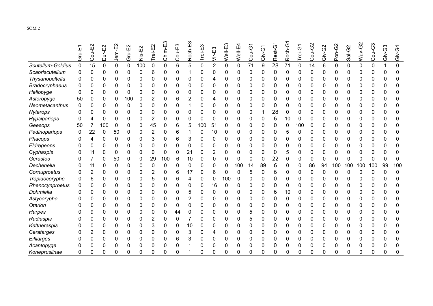|                       | T-ng | Cou-E2 | Dur-E2 | Jem-E2      | Gru-E2 | Nis-E2 | Trei-E2     | ⊞<br>Chim-E | Cou-E3   | ш<br>Roch-     | Trei-E3     | Vir-E3         | Well-E3  | Well-E4     | Cou-G1 | Giv-G1      | Rest-G1 | Roch- | Trei-G      | Cou-G2 | Giv-G2 | Pon-G2       | Sal-G2      | <b>Nav-G2</b> | Cou-G3 | Giv-G3 | $\ddot{6}$<br>$\ddot{\tilde{\sigma}}$ |
|-----------------------|------|--------|--------|-------------|--------|--------|-------------|-------------|----------|----------------|-------------|----------------|----------|-------------|--------|-------------|---------|-------|-------------|--------|--------|--------------|-------------|---------------|--------|--------|---------------------------------------|
| Scutellum-Goldius     | 0    | 15     | 0      | $\mathbf 0$ | 0      | 100    | $\mathbf 0$ | 0           | 6        | 5              | $\mathbf 0$ | $\overline{2}$ | 0        | $\mathbf 0$ | 71     | 9           | 28      | 71    | $\mathbf 0$ | 14     | 6      | 0            | $\mathbf 0$ | 0             | 0      |        | 0                                     |
| Scabriscutellum       | 0    | 0      | 0      | 0           | 0      | 0      | 6           | 0           | 0        |                | 0           | 0              | 0        | U           | 0      | 0           | 0       | 0     | 0           | 0      | 0      | 0            | ი           | 0             | 0      | ი      | 0                                     |
| Thysanopeltella       | 0    | ŋ      | 0      | 0           | 0      | 0      | 0           | 0           | 0        | 0              | 0           | 4              | 0        | O           | 0      | 0           | 0       | 0     | 0           | 0      | 0      | 0            | U           | 0             | 0      | 0      | 0                                     |
| <b>Bradocryphaeus</b> |      |        | 0      | 0           | 0      | 0      |             | 0           | 0        | 0              | 0           | 0              | 0        |             | 0      | 0           | 0       | ი     | 0           |        |        | 0            | O           | 0             | 0      | 0      | 0                                     |
| Heliopyge             | 0    |        | 0      | 0           | 0      | 0      | 0           | 0           | 0        | 0              | O           | 0              | 0        | U           | 0      | 0           | 0       | ი     | 0           | 0      | 0      | 0            | n           | 0             | 0      | ი      | <sup>n</sup>                          |
| Asteropyge            | 50   |        | 0      | 0           | 100    | 0      | 2           | 0           | 6        | 2              | 0           | 4              | 0        |             | 0      | 0           | 0       | 0     | 0           | 0      | 0      | 0            | 0           | 0             | 0      |        |                                       |
| Neometacanthus        |      |        | 0      | 0           | 0      | 0      | 0           | 0           | 0        |                | 0           | 0              | 0        |             | 0      | 0           | 0       | 0     | 0           | 0      | 0      | 0            | 0           | 0             | 0      |        | 0                                     |
| Nyterops              | ი    | O      | 0      | O           | 0      | 0      | 0           | 0           | ŋ        | 0              | 0           | 0              | 0        | ŋ           | 0      |             | 28      | 0     | 0           | 0      | 0      | 0            | O           | 0             | 0      | ი      | 0                                     |
| Hypsipariops          | ი    |        | 0      | 0           | 0      | 0      | 2           | 0           | $\Omega$ | 0              | 0           | 0              | 0        | 0           | 0      | $\mathbf 0$ | 6       | 10    | 0           | 0      | 0      | $\mathbf{0}$ | 0           | 0             | 0      | ი      | 0                                     |
| Geesops               | 50   |        | 100    | 0           | 0      | 0      | 45          | 0           | 6        | 5              | 100         | 51             | 0        | 0           | 0      | 0           | 0       | 0     | 100         | 0      | 0      | 0            | O           | 0             | 0      |        | 0                                     |
| Pedinopariops         | 0    | 22     | 0      | 50          | 0      | 0      | 2           | 0           | 6        |                | 0           | 10             | 0        | 0           | 0      | 0           | 0       | 5     | 0           | 0      | 0      | 0            | 0           | 0             | 0      | 0      | 0                                     |
| Phacops               |      |        | 0      | 0           | 0      | 0      | 3           | 0           | 6        | 3              | 0           | 0              | 0        | 0           | 0      | 0           | 0       | 0     | 0           | 0      | 0      | $\Omega$     | 0           | 0             | 0      | 0      | 0                                     |
| Eldregeops            |      | 0      | 0      | 0           | 0      | 0      | 0           | 0           | 0        | 0              | 0           | 0              | 0        | 0           | 0      | 0           | 0       | ი     | 0           | 0      | 0      | $\Omega$     |             | 0             | 0      |        | <sup>0</sup>                          |
| Cyphaspis             |      | 11     | 0      | 0           | 0      | 0      | 0           | 0           | 0        | 21             | 0           | 2              | 0        |             | 0      | 0           | 0       | 5     | 0           | 0      | 0      | 0            |             | 0             | 0      |        | 0                                     |
| Gerastos              |      |        | 0      | 50          | 0      | 0      | 29          | 100         | 6        | 10             | 0           | 0              | 0        | 0           | 0      | 0           | 22      | 0     | 0           | 0      | 0      | 0            | 0           | 0             | 0      | ი      | 0                                     |
| Dechenella            |      | 11     | 0      | $\Omega$    | 0      | 0      | 0           | 0           | $\Omega$ | 0              | 0           | 0              | 0        | 100         | 14     | 89          | 6       | 0     | 0           | 86     | 94     | 100          | 100         | 100           | 100    | 99     | 100                                   |
| Cornuproetus          |      | 2      | 0      | 0           | 0      | 0      | 2           | 0           | 6        | 17             | 0           | 6              | 0        | $\Omega$    | 5      | $\mathbf 0$ | 6       | 0     | 0           | 0      | 0      | 0            | $\mathbf 0$ | 0             | 0      | 0      | 0                                     |
| Tropidocoryphe        | 0    | 6      | 0      | O           | 0      | 0      | 5           | 0           | 6        | 4              | 0           | 0              | 100      | 0           | 0      | 0           | 0       | ი     | 0           | 0      | 0      | 0            | n           | 0             | ი      | ი      | 0                                     |
| Rhenocynproetus       |      | O      | 0      | 0           | 0      | 0      | 0           | 0           | ŋ        | 0              | 0           | 16             | 0        |             | 0      | 0           | 0       | 0     | 0           | 0      | 0      | 0            |             | 0             | 0      | ი      | 0                                     |
| Dohmiella             |      |        | 0      | 0           | 0      | 0      | 0           | 0           | 0        | 5              | 0           | 0              | 0        |             | 0      | 0           | 6       | 10    | 0           | 0      | 0      | 0            |             | 0             | 0      |        | 0                                     |
| Astycoryphe           |      |        | 0      | 0           | 0      | 0      | 0           | 0           | 0        | $\overline{2}$ | 0           | 0              | 0        | 0           | 0      | 0           | 0       | 0     | 0           | 0      | 0      | 0            | 0           | 0             | 0      |        | 0                                     |
| Otarion               |      | O      | 0      | 0           | 0      | 0      | 0           | 0           | 0        | 0              | 0           | 0              | 0        | 0           | 0      | 0           | 0       | 0     | 0           | 0      | 0      | 0            | 0           | 0             | 0      | 0      | 0                                     |
| <b>Harpes</b>         |      | 9      | 0      | 0           | 0      | 0      | 0           | 0           | 44       | 0              | 0           | 0              | $\Omega$ | 0           | 5      | 0           | 0       | ი     | 0           | 0      | 0      | 0            | O           | 0             | 0      |        | 0                                     |
| Radiaspis             |      |        | 0      | 0           | 0      | 0      | 2           | 0           | 0        | 7              | 0           | 0              | 0        |             | 5      | 0           | 0       | 0     | 0           | 0      | 0      | 0            | 0           | 0             | 0      |        | 0                                     |
| Kettneraspis          |      |        | 0      | O           | 0      | 0      | 3           | 0           | 0        | 10             | 0           | 0              | $\Omega$ | U           | 0      | 0           | 0       | ი     | 0           | 0      | 0      | $\Omega$     | $\Omega$    | 0             | 0      | ი      | <sup>0</sup>                          |
| Ceratarges            |      |        | 0      | 0           | 0      | 0      | 0           | 0           | ŋ        | 3              | 0           | 4              | 0        |             | 0      | 0           | 0       | 0     | 0           | 0      | 0      | $\mathbf{0}$ |             | 0             | 0      |        | 0                                     |
| Eifliarges            |      | 0      | 0      | 0           | 0      |        | 0           | 0           | 6        | 3              | 0           | 0              | 0        |             | 0      | 0           | 0       | 0     | 0           |        | 0      | 0            |             | 0             |        |        |                                       |
| Acantopyge            |      | O      | 0      | 0           | 0      | 0      | 0           | 0           | 0        |                | 0           | 0              | 0        | 0           | 0      | 0           | 0       | 0     | 0           |        | 0      | 0            | ŋ           | 0             | 0      |        | 0                                     |
| Koneprusiinae         | 0    |        | 0      | ŋ           | 0      |        |             | ი           |          |                | N           | U              |          |             | U      |             | O       | n     | U           |        |        | U            |             | O             | ი      | ი      | 0                                     |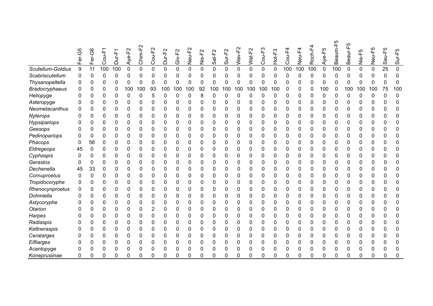|                       | Fer-G5 | Fer-G6 | Cou-F       | Щ<br>T-<br>Dur- | ட்<br>Aye-l | Chim-F2     | F2<br>Gou-F      | 요<br>T-JuC<br>Dur | Giv-F <sub>2</sub> | Neu-F2      | Nis-F2      | Sal-F <sub>2</sub> | Sur-F <sub>2</sub> | Wav-F2 | Wel-F2      | ო<br>Cou-F  | Hot-F3       | Cou-F-      | Neu-F4   | Roch-F4 | Aye-F5 | ပြု<br>Beaum- | Ю<br>Ш<br>I-ine<br>Ő<br>$\mathbf{a}$ | $Nis-F5$ | Neu-F5       | $au-F5$<br>Ő   | Sur-F5       |
|-----------------------|--------|--------|-------------|-----------------|-------------|-------------|------------------|-------------------|--------------------|-------------|-------------|--------------------|--------------------|--------|-------------|-------------|--------------|-------------|----------|---------|--------|---------------|--------------------------------------|----------|--------------|----------------|--------------|
| Scutellum-Goldius     | 9      | 11     | 100         | 100             | 0           | $\mathbf 0$ | $\mathbf 0$      | 0                 | 0                  | $\mathbf 0$ | $\mathbf 0$ | 0                  | $\mathbf 0$        | 0      | $\mathbf 0$ | $\mathbf 0$ | $\mathbf 0$  | 100         | 100      | 100     | 0      | 100           | 0                                    | 0        | $\mathbf 0$  | 25             | 0            |
| Scabriscutellum       | 0      | 0      | 0           | 0               | 0           | 0           | 0                | 0                 | 0                  | 0           | 0           | 0                  | 0                  | 0      | 0           | 0           | 0            | $\mathbf 0$ | 0        | 0       | 0      | $\mathbf{0}$  | 0                                    | 0        | 0            | 0              | 0            |
| Thysanopeltella       | 0      | 0      | 0           | 0               | 0           | 0           | 0                | 0                 | 0                  | 0           | $\mathbf 0$ | 0                  | 0                  | 0      | 0           | 0           | 0            | 0           | 0        | 0       | 0      | 0             | 0                                    | 0        | $\mathbf 0$  | 0              | 0            |
| <b>Bradocryphaeus</b> |        |        | $\mathbf 0$ | 0               | 100         | 100         | 93               | 100               | 100                | 100         | 92          | 100                | 100                | 100    | 100         | 100         | 100          | 0           | 0        | 0       | 100    | 0             | 100                                  | 100      | 100          | 75             | 100          |
| Heliopyge             |        |        | 0           | 0               | 0           | 0           | 5                | 0                 | 0                  | 0           | 8           | 0                  | 0                  | 0      | 0           | 0           | $\mathbf{0}$ | 0           | 0        | 0       | 0      | 0             | $\Omega$                             | 0        | $\mathbf{0}$ | 0              | $\Omega$     |
| Asteropyge            |        | O      | 0           | 0               | 0           | 0           | 0                | 0                 | 0                  | 0           | 0           | 0                  | 0                  | 0      | 0           | 0           | 0            | 0           | 0        | 0       | 0      | 0             | 0                                    | 0        | 0            | 0              | 0            |
| Neometacanthus        | ი      | 0      | 0           | 0               | 0           | 0           | 0                | 0                 | 0                  | 0           | 0           | 0                  | 0                  | 0      | 0           | 0           | 0            | 0           | 0        | 0       | 0      | 0             | 0                                    | 0        | 0            | 0              | 0            |
| Nyterops              |        | 0      | 0           | 0               | 0           | 0           | 0                | 0                 | 0                  | 0           | 0           | 0                  | 0                  | 0      | 0           | 0           | 0            | 0           | 0        | 0       | 0      | 0             | 0                                    | 0        | 0            | 0              | 0            |
| Hypsipariops          |        | 0      | 0           | 0               | 0           | 0           | $\mathbf{0}$     | 0                 | 0                  | 0           | 0           | 0                  | 0                  | 0      | 0           | 0           | $\mathbf{0}$ | 0           | 0        | 0       | 0      | 0             | 0                                    | 0        | 0            | 0              | 0            |
| Geesops               | 0      | 0      | 0           | 0               | 0           | 0           | 0                | 0                 | 0                  | 0           | 0           | 0                  | 0                  | 0      | 0           | 0           | 0            | 0           | 0        | 0       | 0      | 0             | 0                                    | 0        | 0            | 0              | 0            |
| Pedinopariops         |        | 0      | 0           | 0               | 0           | 0           | 0                | 0                 | 0                  | 0           | 0           | 0                  | 0                  | 0      | 0           | 0           | 0            | 0           | 0        | 0       | 0      | 0             | 0                                    | 0        | 0            | 0              | 0            |
| Phacops               | 0      | 56     | 0           | 0               | 0           | 0           | 0                | 0                 | 0                  | 0           | 0           | 0                  | 0                  | 0      | 0           | 0           | 0            | 0           | 0        | 0       | 0      | 0             | 0                                    | 0        | 0            | 0              | 0            |
| Eldregeops            | 45     | 0      | 0           | 0               | 0           | 0           | 0                | 0                 | 0                  | 0           | 0           | 0                  | 0                  | 0      | 0           | 0           | 0            | 0           | 0        | 0       | 0      | 0             | 0                                    | 0        | 0            | 0              | 0            |
| Cyphaspis             | 0      | 0      | 0           | 0               | 0           | 0           | 0                | 0                 | 0                  | 0           | 0           | 0                  | 0                  | 0      | 0           | 0           | $\mathbf{0}$ | 0           | 0        | 0       | 0      | 0             | 0                                    | 0        | 0            | 0              | 0            |
| Gerastos              | 0      | 0      | $\mathbf 0$ | 0               | 0           | 0           | 0                | 0                 | 0                  | 0           | 0           | 0                  | 0                  | 0      | 0           | 0           | 0            | 0           | 0        | 0       | 0      | 0             | 0                                    | 0        | 0            | 0              | $\mathbf{0}$ |
| Dechenella            | 45     | 33     | 0           | 0               | 0           | 0           | 0                | 0                 | 0                  | $\Omega$    | $\Omega$    | 0                  | 0                  | 0      | 0           | 0           | 0            | 0           | 0        | 0       | 0      | 0             | 0                                    | 0        | $\Omega$     | 0              | $\Omega$     |
| Cornuproetus          |        | 0      | 0           | 0               | 0           | 0           | 0                | 0                 | 0                  | 0           | 0           | 0                  | 0                  | 0      | 0           | 0           | 0            | 0           | 0        | 0       | 0      | 0             | 0                                    | 0        | 0            | 0              | 0            |
| Tropidocoryphe        | 0      | 0      | 0           | 0               | 0           | 0           | 0                | 0                 | 0                  | 0           | 0           | 0                  | 0                  | 0      | 0           | 0           | 0            | 0           | 0        | 0       | 0      | 0             | 0                                    | 0        | 0            | 0              | $\Omega$     |
| Rhenocynproetus       | 0      | 0      | 0           | 0               | 0           | 0           | 0                | 0                 | 0                  | 0           | 0           | 0                  | 0                  | 0      | 0           | 0           | 0            | 0           | 0        | 0       | 0      | 0             | 0                                    | 0        | 0            | 0              | 0            |
| Dohmiella             |        | O      | 0           | 0               | 0           | 0           | 0                | 0                 | 0                  | 0           | 0           | 0                  | 0                  | 0      | 0           | 0           | 0            | 0           | 0        | 0       | 0      | 0             | 0                                    | 0        | 0            | 0              | 0            |
| Astycoryphe           |        | 0      | 0           | 0               | 0           | 0           | 0                | 0                 | 0                  | 0           | 0           | 0                  | 0                  | 0      | 0           | 0           | 0            | 0           | 0        | 0       | 0      | 0             | 0                                    | 0        | 0            | 0              | 0            |
| Otarion               |        | 0      | 0           | 0               | 0           | 0           | $\boldsymbol{2}$ | 0                 | 0                  | $\mathbf 0$ | 0           | 0                  | 0                  | 0      | 0           | 0           | 0            | 0           | 0        | 0       | 0      | 0             | 0                                    | 0        | 0            | 0              | $\Omega$     |
| Harpes                |        | 0      | 0           | 0               | 0           | 0           | 0                | 0                 | 0                  | 0           | 0           | 0                  | 0                  | 0      | 0           | 0           | 0            | 0           | 0        | 0       | 0      | 0             | 0                                    | 0        | 0            | 0              | 0            |
| Radiaspis             |        | 0      | 0           | 0               | 0           | 0           | 0                | 0                 | 0                  | 0           | 0           | 0                  | 0                  | 0      | 0           | 0           | 0            | 0           | 0        | 0       | 0      | 0             | 0                                    | 0        | 0            | 0              | 0            |
| Kettneraspis          |        | 0      | 0           | 0               | 0           | 0           | 0                | 0                 | 0                  | 0           | 0           | 0                  | 0                  | 0      | 0           | 0           | 0            | 0           | 0        | 0       | 0      | 0             | 0                                    | 0        | 0            | 0              | 0            |
| Ceratarges            |        | 0      | $\mathbf 0$ | 0               | 0           | 0           | 0                | 0                 | 0                  | 0           | 0           | 0                  | 0                  | 0      | 0           | 0           | 0            | 0           | 0        | 0       | 0      | 0             |                                      | 0        | 0            | 0              | 0            |
| Eifliarges            |        | 0      | 0           | 0               | 0           | 0           | 0                | 0                 | 0                  | 0           | 0           | 0                  | 0                  | 0      | 0           | 0           | $\mathbf{0}$ | 0           | 0        | 0       | 0      | 0             | 0                                    | 0        | 0            | 0              | 0            |
| Acantopyge            | 0      | 0      | 0           | 0               | 0           | 0           | 0                | 0                 | 0                  | $\mathbf 0$ | 0           | 0                  | 0                  | 0      | 0           | 0           | 0            | 0           | 0        | 0       | 0      | 0             | 0                                    | 0        | 0            | 0              | 0            |
| Koneprusiinae         | 0      | 0      | $\Omega$    | ŋ               | 0           | ი           |                  | ŋ                 | ∩                  | $\Omega$    | 0           | O                  | n                  |        | ∩           | O           | U            | O           | $\Omega$ | O       | 0      | በ             |                                      | $\Omega$ | 0            | $\overline{0}$ | $\Omega$     |